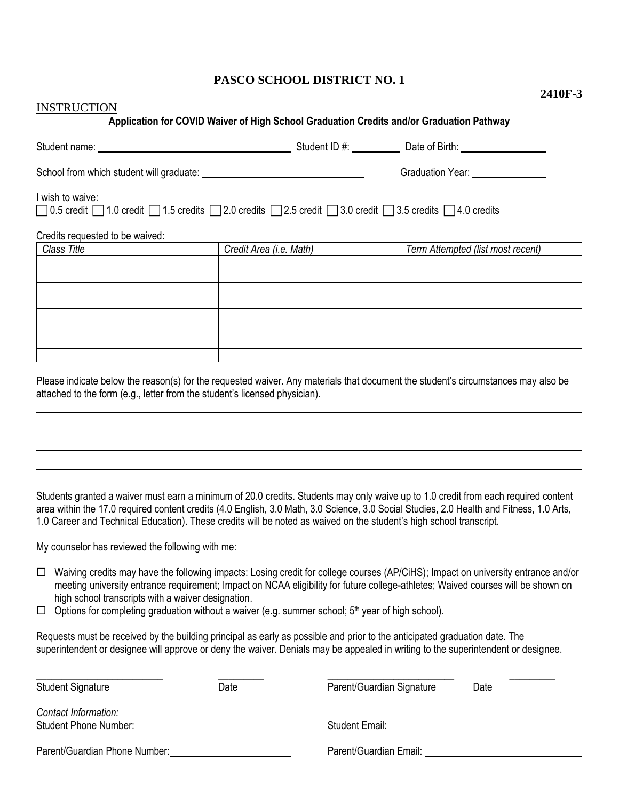## **PASCO SCHOOL DISTRICT NO. 1**

**2410F-3**

| <b>INSTRUCTION</b>                                                                                                                                                       |                                                                                          |                                   |
|--------------------------------------------------------------------------------------------------------------------------------------------------------------------------|------------------------------------------------------------------------------------------|-----------------------------------|
|                                                                                                                                                                          | Application for COVID Waiver of High School Graduation Credits and/or Graduation Pathway |                                   |
|                                                                                                                                                                          |                                                                                          |                                   |
|                                                                                                                                                                          |                                                                                          | Graduation Year: _______________  |
| I wish to waive:<br>$\Box$ 0.5 credit $\Box$ 1.0 credit $\Box$ 1.5 credits $\Box$ 2.0 credits $\Box$ 2.5 credit $\Box$ 3.0 credits $\Box$ 3.5 credits $\Box$ 4.0 credits |                                                                                          |                                   |
| Credits requested to be waived:                                                                                                                                          |                                                                                          |                                   |
| Class Title                                                                                                                                                              | Credit Area (i.e. Math)                                                                  | Term Attempted (list most recent) |
|                                                                                                                                                                          |                                                                                          |                                   |
|                                                                                                                                                                          |                                                                                          |                                   |
|                                                                                                                                                                          |                                                                                          |                                   |
|                                                                                                                                                                          |                                                                                          |                                   |
|                                                                                                                                                                          |                                                                                          |                                   |
|                                                                                                                                                                          |                                                                                          |                                   |
|                                                                                                                                                                          |                                                                                          |                                   |
|                                                                                                                                                                          |                                                                                          |                                   |
|                                                                                                                                                                          |                                                                                          |                                   |

Please indicate below the reason(s) for the requested waiver. Any materials that document the student's circumstances may also be attached to the form (e.g., letter from the student's licensed physician).

Students granted a waiver must earn a minimum of 20.0 credits. Students may only waive up to 1.0 credit from each required content area within the 17.0 required content credits (4.0 English, 3.0 Math, 3.0 Science, 3.0 Social Studies, 2.0 Health and Fitness, 1.0 Arts, 1.0 Career and Technical Education). These credits will be noted as waived on the student's high school transcript.

My counselor has reviewed the following with me:

- $\Box$  Waiving credits may have the following impacts: Losing credit for college courses (AP/CiHS); Impact on university entrance and/or meeting university entrance requirement; Impact on NCAA eligibility for future college-athletes; Waived courses will be shown on high school transcripts with a waiver designation.
- $\Box$  Options for completing graduation without a waiver (e.g. summer school;  $5<sup>th</sup>$  year of high school).

Requests must be received by the building principal as early as possible and prior to the anticipated graduation date. The superintendent or designee will approve or deny the waiver. Denials may be appealed in writing to the superintendent or designee.

| <b>Student Signature</b>                             | Date | Parent/Guardian Signature | Date |
|------------------------------------------------------|------|---------------------------|------|
| Contact Information:<br><b>Student Phone Number:</b> |      | <b>Student Email:</b>     |      |
| Parent/Guardian Phone Number:                        |      | Parent/Guardian Email:    |      |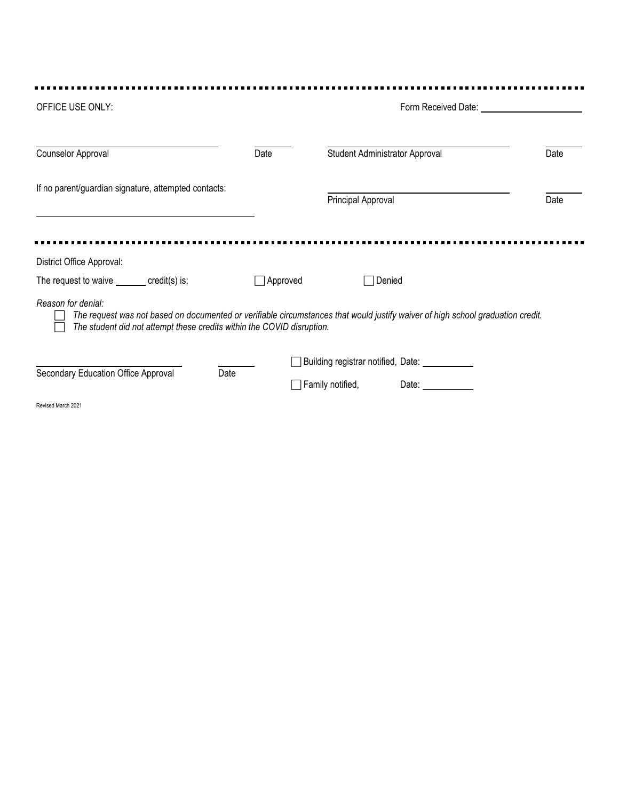| OFFICE USE ONLY:                                                                             |                 | Form Received Date:                                                                                                             |      |  |
|----------------------------------------------------------------------------------------------|-----------------|---------------------------------------------------------------------------------------------------------------------------------|------|--|
| Counselor Approval                                                                           | Date            | Student Administrator Approval                                                                                                  | Date |  |
| If no parent/guardian signature, attempted contacts:                                         |                 | Principal Approval                                                                                                              | Date |  |
| District Office Approval:<br>The request to waive $\_\_\_\_ \text{credit(s)}$ is:            | $\Box$ Approved | □Denied                                                                                                                         |      |  |
| Reason for denial:<br>The student did not attempt these credits within the COVID disruption. |                 | The request was not based on documented or verifiable circumstances that would justify waiver of high school graduation credit. |      |  |
| Secondary Education Office Approval<br>Date                                                  |                 | Building registrar notified, Date: _____________<br>Family notified,<br>Date: $\frac{1}{2}$                                     |      |  |
| Revised March 2021                                                                           |                 |                                                                                                                                 |      |  |